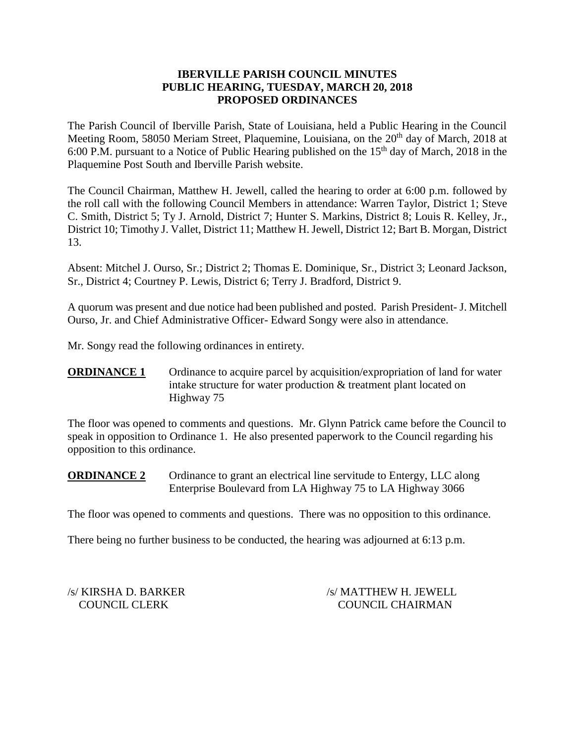## **IBERVILLE PARISH COUNCIL MINUTES PUBLIC HEARING, TUESDAY, MARCH 20, 2018 PROPOSED ORDINANCES**

The Parish Council of Iberville Parish, State of Louisiana, held a Public Hearing in the Council Meeting Room, 58050 Meriam Street, Plaquemine, Louisiana, on the 20<sup>th</sup> day of March, 2018 at 6:00 P.M. pursuant to a Notice of Public Hearing published on the  $15<sup>th</sup>$  day of March, 2018 in the Plaquemine Post South and Iberville Parish website.

The Council Chairman, Matthew H. Jewell, called the hearing to order at 6:00 p.m. followed by the roll call with the following Council Members in attendance: Warren Taylor, District 1; Steve C. Smith, District 5; Ty J. Arnold, District 7; Hunter S. Markins, District 8; Louis R. Kelley, Jr., District 10; Timothy J. Vallet, District 11; Matthew H. Jewell, District 12; Bart B. Morgan, District 13.

Absent: Mitchel J. Ourso, Sr.; District 2; Thomas E. Dominique, Sr., District 3; Leonard Jackson, Sr., District 4; Courtney P. Lewis, District 6; Terry J. Bradford, District 9.

A quorum was present and due notice had been published and posted. Parish President- J. Mitchell Ourso, Jr. and Chief Administrative Officer- Edward Songy were also in attendance.

Mr. Songy read the following ordinances in entirety.

**ORDINANCE 1** Ordinance to acquire parcel by acquisition/expropriation of land for water intake structure for water production & treatment plant located on Highway 75

The floor was opened to comments and questions. Mr. Glynn Patrick came before the Council to speak in opposition to Ordinance 1. He also presented paperwork to the Council regarding his opposition to this ordinance.

**ORDINANCE 2** Ordinance to grant an electrical line servitude to Entergy, LLC along Enterprise Boulevard from LA Highway 75 to LA Highway 3066

The floor was opened to comments and questions. There was no opposition to this ordinance.

There being no further business to be conducted, the hearing was adjourned at 6:13 p.m.

/s/ KIRSHA D. BARKER /s/ MATTHEW H. JEWELL COUNCIL CLERK COUNCIL CHAIRMAN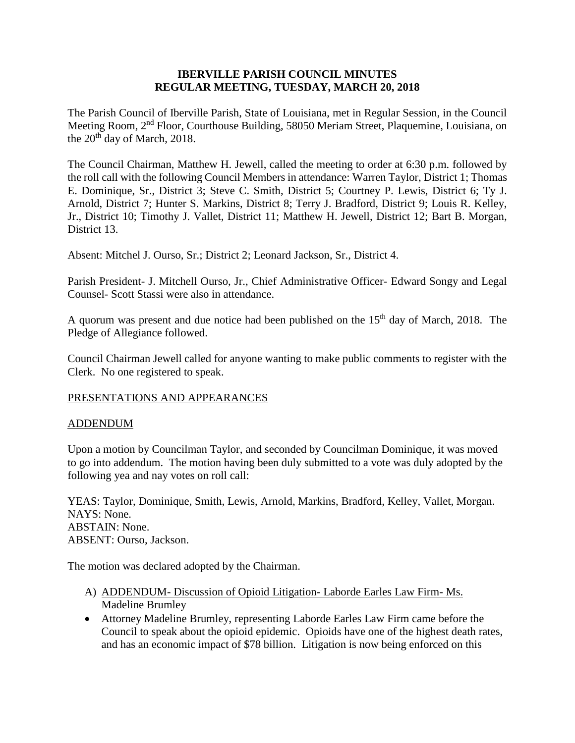## **IBERVILLE PARISH COUNCIL MINUTES REGULAR MEETING, TUESDAY, MARCH 20, 2018**

The Parish Council of Iberville Parish, State of Louisiana, met in Regular Session, in the Council Meeting Room, 2nd Floor, Courthouse Building, 58050 Meriam Street, Plaquemine, Louisiana, on the 20<sup>th</sup> day of March, 2018.

The Council Chairman, Matthew H. Jewell, called the meeting to order at 6:30 p.m. followed by the roll call with the following Council Members in attendance: Warren Taylor, District 1; Thomas E. Dominique, Sr., District 3; Steve C. Smith, District 5; Courtney P. Lewis, District 6; Ty J. Arnold, District 7; Hunter S. Markins, District 8; Terry J. Bradford, District 9; Louis R. Kelley, Jr., District 10; Timothy J. Vallet, District 11; Matthew H. Jewell, District 12; Bart B. Morgan, District 13.

Absent: Mitchel J. Ourso, Sr.; District 2; Leonard Jackson, Sr., District 4.

Parish President- J. Mitchell Ourso, Jr., Chief Administrative Officer- Edward Songy and Legal Counsel- Scott Stassi were also in attendance.

A quorum was present and due notice had been published on the  $15<sup>th</sup>$  day of March, 2018. The Pledge of Allegiance followed.

Council Chairman Jewell called for anyone wanting to make public comments to register with the Clerk. No one registered to speak.

## PRESENTATIONS AND APPEARANCES

### ADDENDUM

Upon a motion by Councilman Taylor, and seconded by Councilman Dominique, it was moved to go into addendum. The motion having been duly submitted to a vote was duly adopted by the following yea and nay votes on roll call:

YEAS: Taylor, Dominique, Smith, Lewis, Arnold, Markins, Bradford, Kelley, Vallet, Morgan. NAYS: None. ABSTAIN: None. ABSENT: Ourso, Jackson.

The motion was declared adopted by the Chairman.

- A) ADDENDUM- Discussion of Opioid Litigation- Laborde Earles Law Firm- Ms. Madeline Brumley
- Attorney Madeline Brumley, representing Laborde Earles Law Firm came before the Council to speak about the opioid epidemic. Opioids have one of the highest death rates, and has an economic impact of \$78 billion. Litigation is now being enforced on this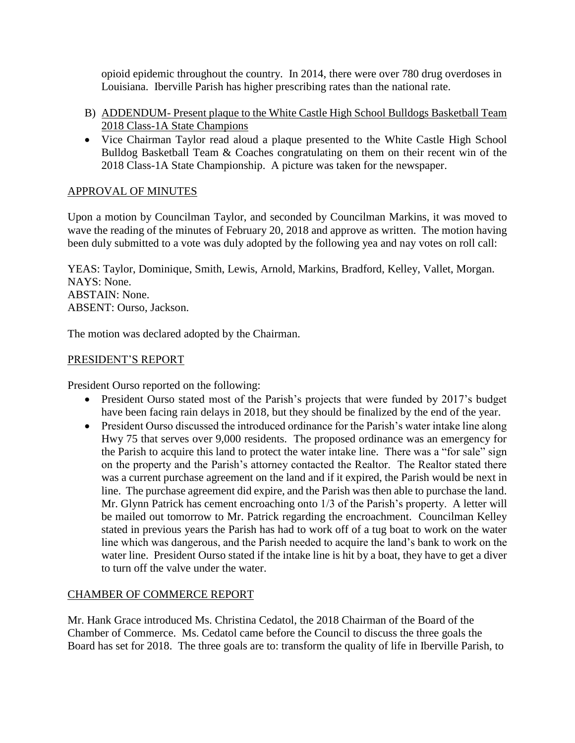opioid epidemic throughout the country. In 2014, there were over 780 drug overdoses in Louisiana. Iberville Parish has higher prescribing rates than the national rate.

- B) ADDENDUM- Present plaque to the White Castle High School Bulldogs Basketball Team 2018 Class-1A State Champions
- Vice Chairman Taylor read aloud a plaque presented to the White Castle High School Bulldog Basketball Team & Coaches congratulating on them on their recent win of the 2018 Class-1A State Championship. A picture was taken for the newspaper.

# APPROVAL OF MINUTES

Upon a motion by Councilman Taylor, and seconded by Councilman Markins, it was moved to wave the reading of the minutes of February 20, 2018 and approve as written. The motion having been duly submitted to a vote was duly adopted by the following yea and nay votes on roll call:

YEAS: Taylor, Dominique, Smith, Lewis, Arnold, Markins, Bradford, Kelley, Vallet, Morgan. NAYS: None. ABSTAIN: None. ABSENT: Ourso, Jackson.

The motion was declared adopted by the Chairman.

## PRESIDENT'S REPORT

President Ourso reported on the following:

- President Ourso stated most of the Parish's projects that were funded by 2017's budget have been facing rain delays in 2018, but they should be finalized by the end of the year.
- President Ourso discussed the introduced ordinance for the Parish's water intake line along Hwy 75 that serves over 9,000 residents. The proposed ordinance was an emergency for the Parish to acquire this land to protect the water intake line. There was a "for sale" sign on the property and the Parish's attorney contacted the Realtor. The Realtor stated there was a current purchase agreement on the land and if it expired, the Parish would be next in line. The purchase agreement did expire, and the Parish was then able to purchase the land. Mr. Glynn Patrick has cement encroaching onto 1/3 of the Parish's property. A letter will be mailed out tomorrow to Mr. Patrick regarding the encroachment. Councilman Kelley stated in previous years the Parish has had to work off of a tug boat to work on the water line which was dangerous, and the Parish needed to acquire the land's bank to work on the water line. President Ourso stated if the intake line is hit by a boat, they have to get a diver to turn off the valve under the water.

# CHAMBER OF COMMERCE REPORT

Mr. Hank Grace introduced Ms. Christina Cedatol, the 2018 Chairman of the Board of the Chamber of Commerce. Ms. Cedatol came before the Council to discuss the three goals the Board has set for 2018. The three goals are to: transform the quality of life in Iberville Parish, to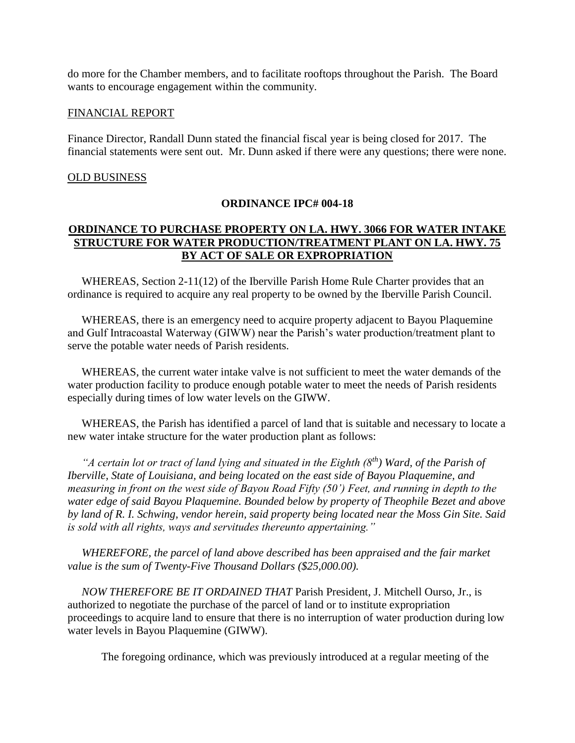do more for the Chamber members, and to facilitate rooftops throughout the Parish. The Board wants to encourage engagement within the community.

#### FINANCIAL REPORT

Finance Director, Randall Dunn stated the financial fiscal year is being closed for 2017. The financial statements were sent out. Mr. Dunn asked if there were any questions; there were none.

#### OLD BUSINESS

### **ORDINANCE IPC# 004-18**

## **ORDINANCE TO PURCHASE PROPERTY ON LA. HWY. 3066 FOR WATER INTAKE STRUCTURE FOR WATER PRODUCTION/TREATMENT PLANT ON LA. HWY. 75 BY ACT OF SALE OR EXPROPRIATION**

 WHEREAS, Section 2-11(12) of the Iberville Parish Home Rule Charter provides that an ordinance is required to acquire any real property to be owned by the Iberville Parish Council.

 WHEREAS, there is an emergency need to acquire property adjacent to Bayou Plaquemine and Gulf Intracoastal Waterway (GIWW) near the Parish's water production/treatment plant to serve the potable water needs of Parish residents.

 WHEREAS, the current water intake valve is not sufficient to meet the water demands of the water production facility to produce enough potable water to meet the needs of Parish residents especially during times of low water levels on the GIWW.

 WHEREAS, the Parish has identified a parcel of land that is suitable and necessary to locate a new water intake structure for the water production plant as follows:

 *"A certain lot or tract of land lying and situated in the Eighth (8th) Ward, of the Parish of Iberville, State of Louisiana, and being located on the east side of Bayou Plaquemine, and measuring in front on the west side of Bayou Road Fifty (50') Feet, and running in depth to the water edge of said Bayou Plaquemine. Bounded below by property of Theophile Bezet and above by land of R. I. Schwing, vendor herein, said property being located near the Moss Gin Site. Said is sold with all rights, ways and servitudes thereunto appertaining."*

 *WHEREFORE, the parcel of land above described has been appraised and the fair market value is the sum of Twenty-Five Thousand Dollars (\$25,000.00).*

 *NOW THEREFORE BE IT ORDAINED THAT* Parish President, J. Mitchell Ourso, Jr., is authorized to negotiate the purchase of the parcel of land or to institute expropriation proceedings to acquire land to ensure that there is no interruption of water production during low water levels in Bayou Plaquemine (GIWW).

The foregoing ordinance, which was previously introduced at a regular meeting of the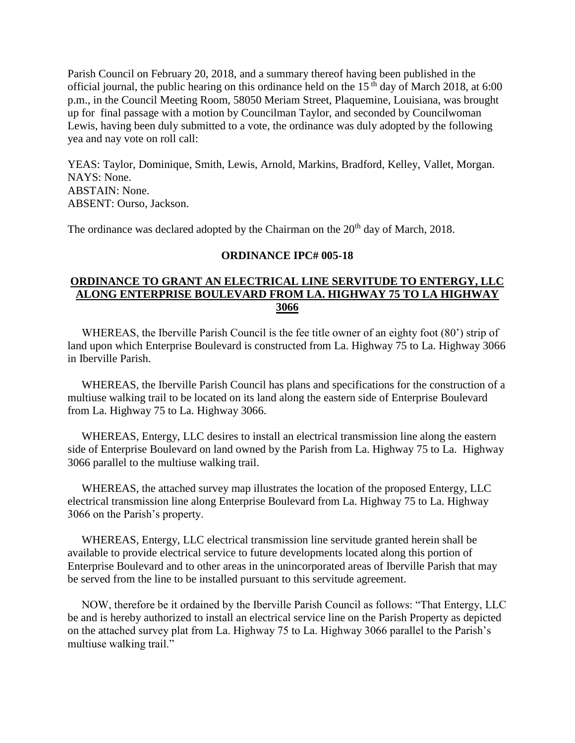Parish Council on February 20, 2018, and a summary thereof having been published in the official journal, the public hearing on this ordinance held on the  $15<sup>th</sup>$  day of March 2018, at 6:00 p.m., in the Council Meeting Room, 58050 Meriam Street, Plaquemine, Louisiana, was brought up for final passage with a motion by Councilman Taylor, and seconded by Councilwoman Lewis, having been duly submitted to a vote, the ordinance was duly adopted by the following yea and nay vote on roll call:

YEAS: Taylor, Dominique, Smith, Lewis, Arnold, Markins, Bradford, Kelley, Vallet, Morgan. NAYS: None. ABSTAIN: None. ABSENT: Ourso, Jackson.

The ordinance was declared adopted by the Chairman on the 20<sup>th</sup> day of March, 2018.

#### **ORDINANCE IPC# 005-18**

## **ORDINANCE TO GRANT AN ELECTRICAL LINE SERVITUDE TO ENTERGY, LLC ALONG ENTERPRISE BOULEVARD FROM LA. HIGHWAY 75 TO LA HIGHWAY 3066**

 WHEREAS, the Iberville Parish Council is the fee title owner of an eighty foot (80') strip of land upon which Enterprise Boulevard is constructed from La. Highway 75 to La. Highway 3066 in Iberville Parish.

 WHEREAS, the Iberville Parish Council has plans and specifications for the construction of a multiuse walking trail to be located on its land along the eastern side of Enterprise Boulevard from La. Highway 75 to La. Highway 3066.

 WHEREAS, Entergy, LLC desires to install an electrical transmission line along the eastern side of Enterprise Boulevard on land owned by the Parish from La. Highway 75 to La. Highway 3066 parallel to the multiuse walking trail.

 WHEREAS, the attached survey map illustrates the location of the proposed Entergy, LLC electrical transmission line along Enterprise Boulevard from La. Highway 75 to La. Highway 3066 on the Parish's property.

 WHEREAS, Entergy, LLC electrical transmission line servitude granted herein shall be available to provide electrical service to future developments located along this portion of Enterprise Boulevard and to other areas in the unincorporated areas of Iberville Parish that may be served from the line to be installed pursuant to this servitude agreement.

 NOW, therefore be it ordained by the Iberville Parish Council as follows: "That Entergy, LLC be and is hereby authorized to install an electrical service line on the Parish Property as depicted on the attached survey plat from La. Highway 75 to La. Highway 3066 parallel to the Parish's multiuse walking trail."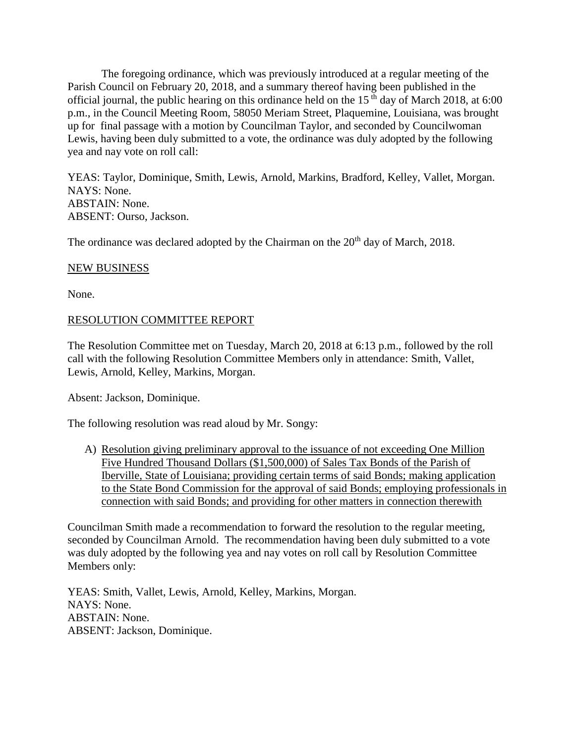The foregoing ordinance, which was previously introduced at a regular meeting of the Parish Council on February 20, 2018, and a summary thereof having been published in the official journal, the public hearing on this ordinance held on the  $15<sup>th</sup>$  day of March 2018, at 6:00 p.m., in the Council Meeting Room, 58050 Meriam Street, Plaquemine, Louisiana, was brought up for final passage with a motion by Councilman Taylor, and seconded by Councilwoman Lewis, having been duly submitted to a vote, the ordinance was duly adopted by the following yea and nay vote on roll call:

YEAS: Taylor, Dominique, Smith, Lewis, Arnold, Markins, Bradford, Kelley, Vallet, Morgan. NAYS: None. ABSTAIN: None. ABSENT: Ourso, Jackson.

The ordinance was declared adopted by the Chairman on the 20<sup>th</sup> day of March, 2018.

### NEW BUSINESS

None.

## RESOLUTION COMMITTEE REPORT

The Resolution Committee met on Tuesday, March 20, 2018 at 6:13 p.m., followed by the roll call with the following Resolution Committee Members only in attendance: Smith, Vallet, Lewis, Arnold, Kelley, Markins, Morgan.

Absent: Jackson, Dominique.

The following resolution was read aloud by Mr. Songy:

A) Resolution giving preliminary approval to the issuance of not exceeding One Million Five Hundred Thousand Dollars (\$1,500,000) of Sales Tax Bonds of the Parish of Iberville, State of Louisiana; providing certain terms of said Bonds; making application to the State Bond Commission for the approval of said Bonds; employing professionals in connection with said Bonds; and providing for other matters in connection therewith

Councilman Smith made a recommendation to forward the resolution to the regular meeting, seconded by Councilman Arnold. The recommendation having been duly submitted to a vote was duly adopted by the following yea and nay votes on roll call by Resolution Committee Members only:

YEAS: Smith, Vallet, Lewis, Arnold, Kelley, Markins, Morgan. NAYS: None. ABSTAIN: None. ABSENT: Jackson, Dominique.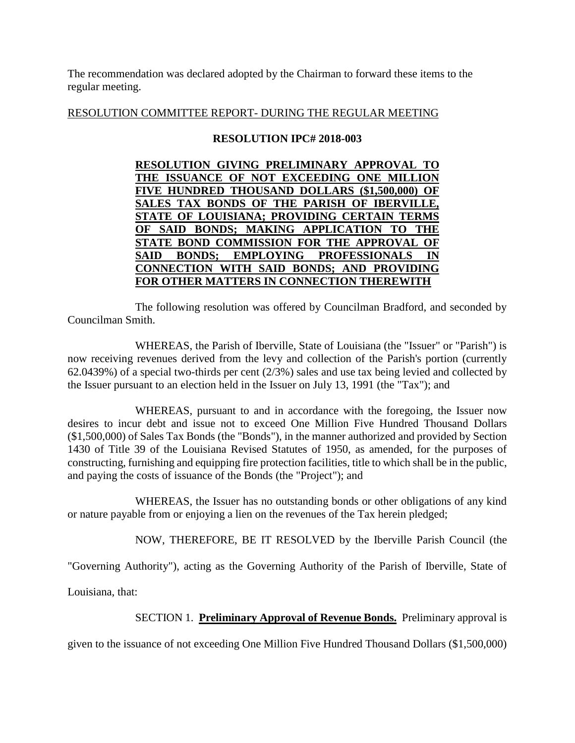The recommendation was declared adopted by the Chairman to forward these items to the regular meeting.

## RESOLUTION COMMITTEE REPORT- DURING THE REGULAR MEETING

## **RESOLUTION IPC# 2018-003**

| RESOLUTION GIVING PRELIMINARY APPROVAL TO      |
|------------------------------------------------|
| THE ISSUANCE OF NOT EXCEEDING ONE MILLION      |
| FIVE HUNDRED THOUSAND DOLLARS (\$1,500,000) OF |
| SALES TAX BONDS OF THE PARISH OF IBERVILLE,    |
| STATE OF LOUISIANA; PROVIDING CERTAIN TERMS    |
| OF SAID BONDS; MAKING APPLICATION TO THE       |
| STATE BOND COMMISSION FOR THE APPROVAL OF      |
| SAID BONDS; EMPLOYING PROFESSIONALS IN         |
| CONNECTION WITH SAID BONDS; AND PROVIDING      |
| FOR OTHER MATTERS IN CONNECTION THEREWITH      |
|                                                |

The following resolution was offered by Councilman Bradford, and seconded by Councilman Smith.

WHEREAS, the Parish of Iberville, State of Louisiana (the "Issuer" or "Parish") is now receiving revenues derived from the levy and collection of the Parish's portion (currently 62.0439%) of a special two-thirds per cent (2/3%) sales and use tax being levied and collected by the Issuer pursuant to an election held in the Issuer on July 13, 1991 (the "Tax"); and

WHEREAS, pursuant to and in accordance with the foregoing, the Issuer now desires to incur debt and issue not to exceed One Million Five Hundred Thousand Dollars (\$1,500,000) of Sales Tax Bonds (the "Bonds"), in the manner authorized and provided by Section 1430 of Title 39 of the Louisiana Revised Statutes of 1950, as amended, for the purposes of constructing, furnishing and equipping fire protection facilities, title to which shall be in the public, and paying the costs of issuance of the Bonds (the "Project"); and

WHEREAS, the Issuer has no outstanding bonds or other obligations of any kind or nature payable from or enjoying a lien on the revenues of the Tax herein pledged;

NOW, THEREFORE, BE IT RESOLVED by the Iberville Parish Council (the

"Governing Authority"), acting as the Governing Authority of the Parish of Iberville, State of

Louisiana, that:

SECTION 1. **Preliminary Approval of Revenue Bonds.** Preliminary approval is

given to the issuance of not exceeding One Million Five Hundred Thousand Dollars (\$1,500,000)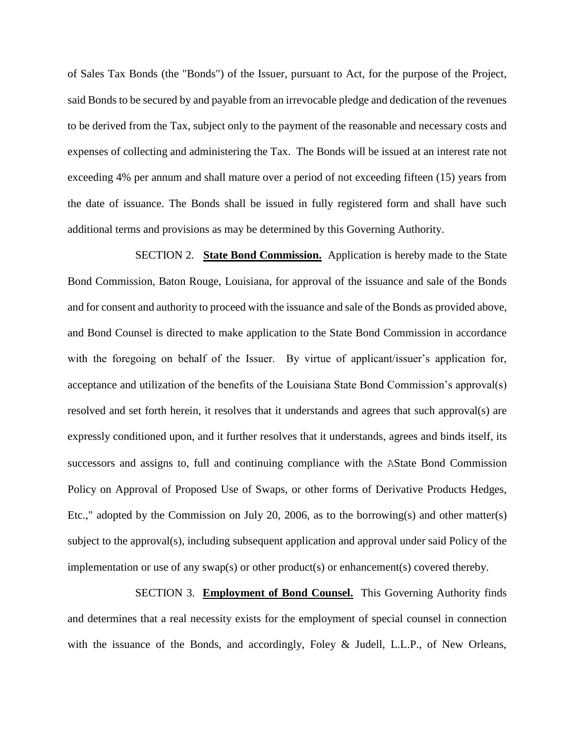of Sales Tax Bonds (the "Bonds") of the Issuer, pursuant to Act, for the purpose of the Project, said Bonds to be secured by and payable from an irrevocable pledge and dedication of the revenues to be derived from the Tax, subject only to the payment of the reasonable and necessary costs and expenses of collecting and administering the Tax. The Bonds will be issued at an interest rate not exceeding 4% per annum and shall mature over a period of not exceeding fifteen (15) years from the date of issuance. The Bonds shall be issued in fully registered form and shall have such additional terms and provisions as may be determined by this Governing Authority.

SECTION 2. **State Bond Commission.** Application is hereby made to the State Bond Commission, Baton Rouge, Louisiana, for approval of the issuance and sale of the Bonds and for consent and authority to proceed with the issuance and sale of the Bonds as provided above, and Bond Counsel is directed to make application to the State Bond Commission in accordance with the foregoing on behalf of the Issuer. By virtue of applicant/issuer's application for, acceptance and utilization of the benefits of the Louisiana State Bond Commission's approval(s) resolved and set forth herein, it resolves that it understands and agrees that such approval(s) are expressly conditioned upon, and it further resolves that it understands, agrees and binds itself, its successors and assigns to, full and continuing compliance with the AState Bond Commission Policy on Approval of Proposed Use of Swaps, or other forms of Derivative Products Hedges, Etc.," adopted by the Commission on July 20, 2006, as to the borrowing(s) and other matter(s) subject to the approval(s), including subsequent application and approval under said Policy of the implementation or use of any swap(s) or other product(s) or enhancement(s) covered thereby.

SECTION 3. **Employment of Bond Counsel.** This Governing Authority finds and determines that a real necessity exists for the employment of special counsel in connection with the issuance of the Bonds, and accordingly, Foley & Judell, L.L.P., of New Orleans,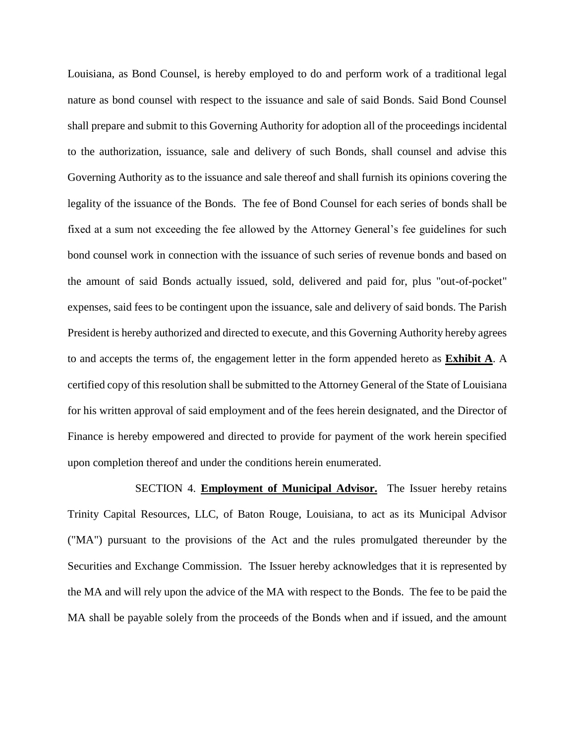Louisiana, as Bond Counsel, is hereby employed to do and perform work of a traditional legal nature as bond counsel with respect to the issuance and sale of said Bonds. Said Bond Counsel shall prepare and submit to this Governing Authority for adoption all of the proceedings incidental to the authorization, issuance, sale and delivery of such Bonds, shall counsel and advise this Governing Authority as to the issuance and sale thereof and shall furnish its opinions covering the legality of the issuance of the Bonds. The fee of Bond Counsel for each series of bonds shall be fixed at a sum not exceeding the fee allowed by the Attorney General's fee guidelines for such bond counsel work in connection with the issuance of such series of revenue bonds and based on the amount of said Bonds actually issued, sold, delivered and paid for, plus "out-of-pocket" expenses, said fees to be contingent upon the issuance, sale and delivery of said bonds. The Parish President is hereby authorized and directed to execute, and this Governing Authority hereby agrees to and accepts the terms of, the engagement letter in the form appended hereto as **Exhibit A**. A certified copy of this resolution shall be submitted to the Attorney General of the State of Louisiana for his written approval of said employment and of the fees herein designated, and the Director of Finance is hereby empowered and directed to provide for payment of the work herein specified upon completion thereof and under the conditions herein enumerated.

SECTION 4. **Employment of Municipal Advisor.** The Issuer hereby retains Trinity Capital Resources, LLC, of Baton Rouge, Louisiana, to act as its Municipal Advisor ("MA") pursuant to the provisions of the Act and the rules promulgated thereunder by the Securities and Exchange Commission. The Issuer hereby acknowledges that it is represented by the MA and will rely upon the advice of the MA with respect to the Bonds. The fee to be paid the MA shall be payable solely from the proceeds of the Bonds when and if issued, and the amount